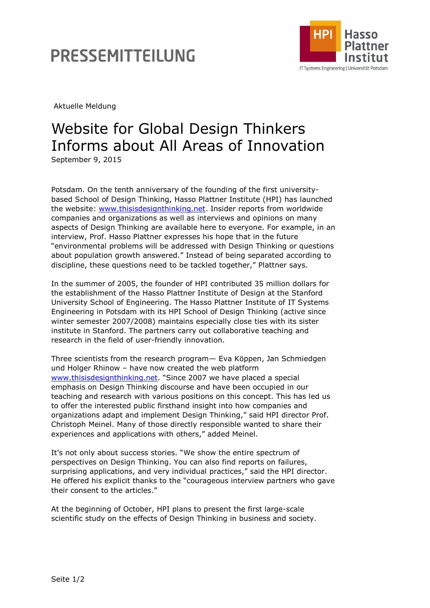## PRESSEMITTEILUNG



Aktuelle Meldung

## Website for Global Design Thinkers Informs about All Areas of Innovation

September 9, 2015

Potsdam. On the tenth anniversary of the founding of the first universitybased School of Design Thinking, Hasso Plattner Institute (HPI) has launched the website: [www.thisisdesignthinking.net.](http://www.thisisdesignthinking.net/) Insider reports from worldwide companies and organizations as well as interviews and opinions on many aspects of Design Thinking are available here to everyone. For example, in an interview, Prof. Hasso Plattner expresses his hope that in the future "environmental problems will be addressed with Design Thinking or questions about population growth answered." Instead of being separated according to discipline, these questions need to be tackled together," Plattner says.

In the summer of 2005, the founder of HPI contributed 35 million dollars for the establishment of the Hasso Plattner Institute of Design at the Stanford University School of Engineering. The Hasso Plattner Institute of IT Systems Engineering in Potsdam with its HPI School of Design Thinking (active since winter semester 2007/2008) maintains especially close ties with its sister institute in Stanford. The partners carry out collaborative teaching and research in the field of user-friendly innovation.

Three scientists from the research program— Eva Köppen, Jan Schmiedgen und Holger Rhinow – have now created the web platform [www.thisisdesignthinking.net](http://www.thisisdesignthinking.net/). "Since 2007 we have placed a special emphasis on Design Thinking discourse and have been occupied in our teaching and research with various positions on this concept. This has led us to offer the interested public firsthand insight into how companies and organizations adapt and implement Design Thinking," said HPI director Prof. Christoph Meinel. Many of those directly responsible wanted to share their experiences and applications with others," added Meinel.

It's not only about success stories. "We show the entire spectrum of perspectives on Design Thinking. You can also find reports on failures, surprising applications, and very individual practices," said the HPI director. He offered his explicit thanks to the "courageous interview partners who gave their consent to the articles."

At the beginning of October, HPI plans to present the first large-scale scientific study on the effects of Design Thinking in business and society.